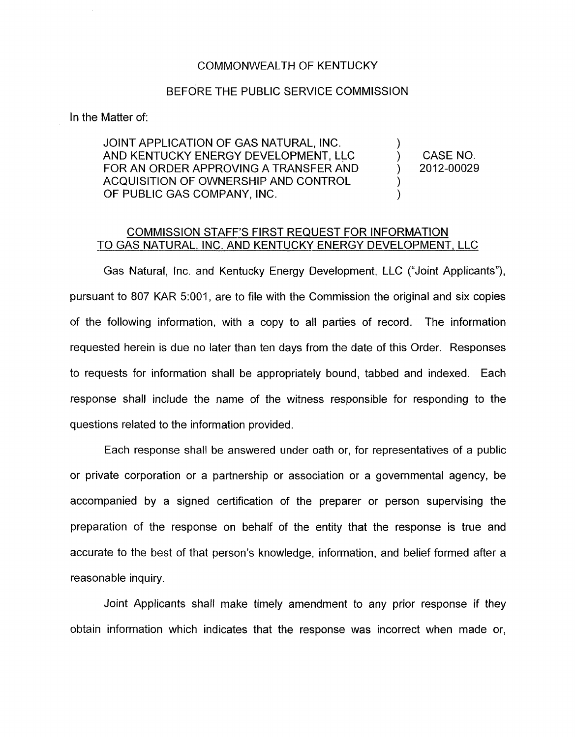## COMMONWEALTH OF KENTUCKY

## BEFORE THE PUBLIC SERVICE COMMISSION

In the Matter of:

JOINT APPLICATION OF GAS NATURAL, INC. AND KENTUCKY ENERGY DEVELOPMENT, LLC  $\qquad \qquad$ ) CASE NO.<br>FOR AN ORDER APPROVING A TRANSFER AND  $\qquad \qquad$ ) 2012-00029 FOR AN ORDER APPROVING A TRANSFER AND  $(2)$ ACQUISITION OF OWNERSHIP AND CONTROL OF PUBLIC GAS COMPANY, INC.

)

) )

## COMMISSION STAFF'S FIRST REQUEST FOR INFORMATION TO GAS NATURAL, INC. AND KENTUCKY ENERGY DEVELOPMENT, LLC

Gas Natural, Inc. and Kentucky Energy Development, LLC ("Joint Applicants"), pursuant to 807 KAR 5:001, are to file with the Commission the original and six copies of the following information, with a copy to all parties of record. The information requested herein is due no later than ten days from the date of this Order. Responses to requests for information shall be appropriately bound, tabbed and indexed. Each response shall include the name of the witness responsible for responding to the questions related to the information provided.

Each response shall be answered under oath or, for representatives of a public or private corporation or a partnership or association or a governmental agency, be accompanied by a signed certification of the preparer or person supervising the preparation of the response on behalf of the entity that the response is true and accurate to the best of that person's knowledge, information, and belief formed after a reasonable inquiry.

Joint Applicants shall make timely amendment to any prior response if they obtain information which indicates that the response was incorrect when made or,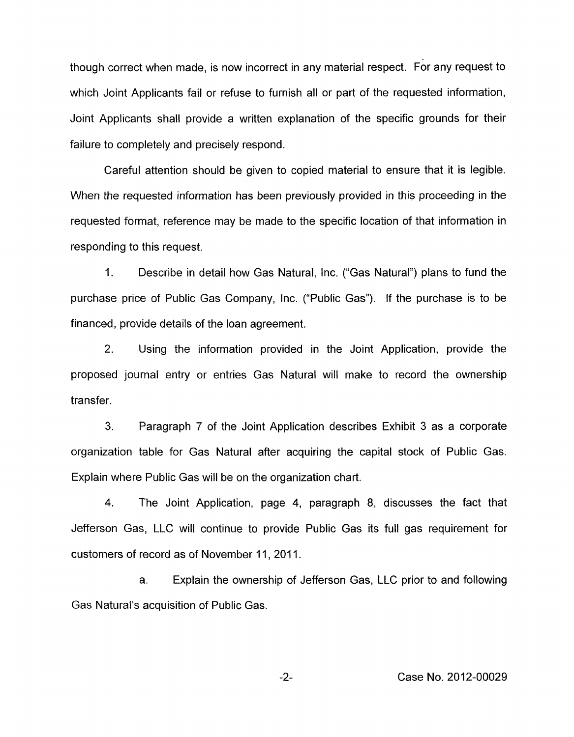though correct when made, is now incorrect in any material respect. For any request to which Joint Applicants fail or refuse to furnish all or part of the requested information, Joint Applicants shall provide a written explanation of the specific grounds for their failure to completely and precisely respond.

Careful attention should be given to copied material to ensure that it is legible. When the requested information has been previously provided in this proceeding in the requested format, reference may be made to the specific location of that information in responding to this request.

1. Describe in detail how Gas Natural, Inc. ("Gas Natural") plans to fund the purchase price of Public Gas Company, Inc. ("Public Gas"). If the purchase is to be financed, provide details of the loan agreement.

2. Using the information provided in the Joint Application, provide the proposed journal entry or entries Gas Natural will make to record the ownership transfer.

**3.** Paragraph 7 of the Joint Application describes Exhibit 3 as a corporate organization table for Gas Natural after acquiring the capital stock of Public Gas. Explain where Public Gas will be on the organization chart.

**4.** The Joint Application, page **4,** paragraph 8, discusses the fact that Jefferson Gas, LLC will continue to provide Public Gas its full gas requirement for customers of record as of November 11, 2011.

a. Explain the ownership of Jefferson Gas, LLC prior to and following Gas Natural's acquisition of Public Gas.

-2- Case No. 2012-00029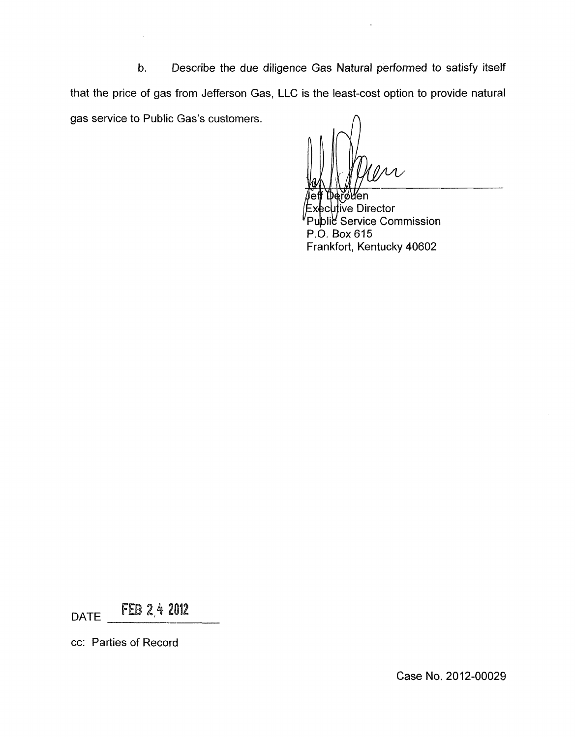b. Describe the due diligence Gas Natural performed to satisfy itself that the price of gas from Jefferson Gas, LLC is the least-cost option to provide natural gas service to Public Gas's customers.

iĭøWen ecutive Director Service Commission P.O. Box615 Frankfort, Kentucky 40602

DATE **FEB 2,4 2012** 

cc: Parties of Record

Case No. 2012-00029